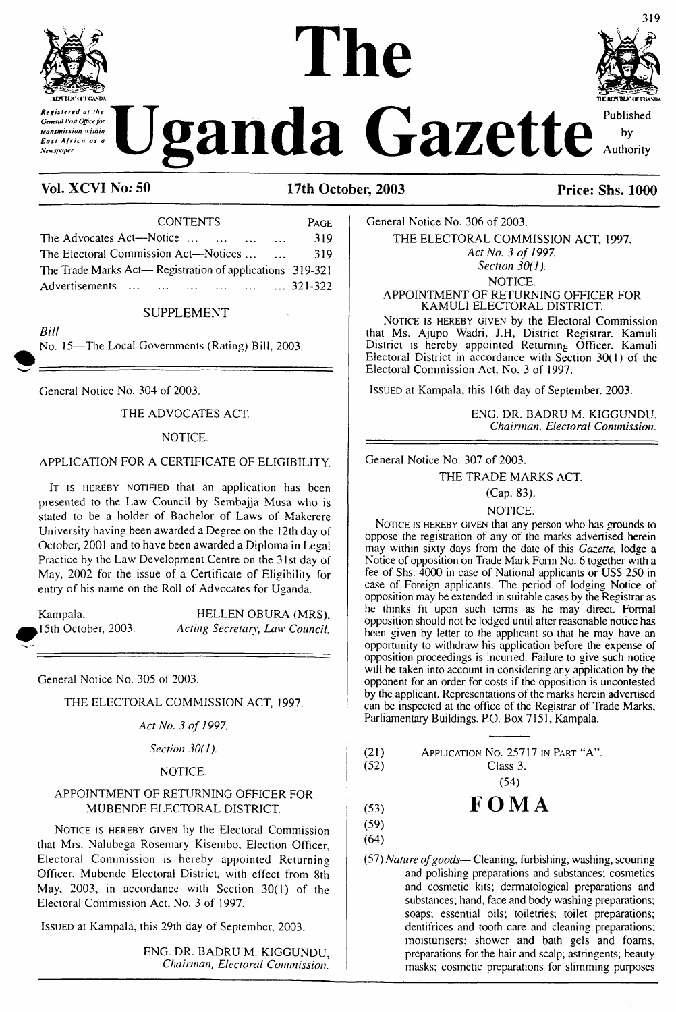

transmission within East Africa as a **Newspaper** 

# **reft** blue to a state of the report of the series of the series of the series of the series of the series of the series of the series of the series of the series of the series of the series of the series of the series of *Concell Post Office for*<br>*Concell Post Office for*<br>*East Africa as a*<br>*Newspaper at the* by Authority

# **Vol. XCVI No; 50 17th October, 2003 Price: Shs. 1000**

| <b>CONTENTS</b>                                           | PAGE |
|-----------------------------------------------------------|------|
| The Advocates Act—Notice                                  | 319  |
| The Electoral Commission Act—Notices                      | 319  |
| The Trade Marks Act— Registration of applications 319-321 |      |
| Advertisements       321-322                              |      |

#### SUPPLEMENT

*Bill*

No. 15—The Local Governments (Rating) Bill, 2003.

General Notice No. 304 of 2003.

THE ADVOCATES ACT

#### NOTICE.

### APPLICATION FOR A CERTIFICATE OF ELIGIBILITY.

IT IS HEREBY NOTIFIED that an application has been presented to the Law Council by Sembajja Musa who is stated to be a holder of Bachelor of Laws of Makerere University having been awarded a Degree on the 12th day of October, 2001 and to have been awarded a Diploma in Legal Practice by the Law Development Centre on the 31st day of May, 2002 for the issue of a Certificate of Eligibility for entry of his name on the Roll of Advocates for Uganda.

Kampala, HELLEN OBURA (MRS), ,15th October, 2003. *Acting Secretary, Law Council.*

General Notice No. 305 of 2003.

THE ELECTORAL COMMISSION ACT, 1997.

*Act No. 3 of 1997.*

*Section 30(1).*

#### NOTICE.

#### APPOINTMENT OF RETURNING OFFICER FOR MUBENDE ELECTORAL DISTRICT.

NOTICE IS HEREBY GIVEN by the Electoral Commission that Mrs. Nalubega Rosemary Kisembo, Election Officer, Electoral Commission is hereby appointed Returning Officer. Mubende Electoral District, with effect from 8th May. 2003, in accordance with Section 30(1) of the Electoral Commission Act, No. 3 of 1997.

Issued at Kampala, this 29th day of September, 2003.

ENG. DR. BADRU M. KIGGUNDU, *Chairman, Electoral Commission.*

General Notice No. 306 of 2003. THE ELECTORAL COMMISSION ACT, 1997. *Act No. 3 of 1997. Section 30(1).* NOTICE. APPOINTMENT OF RETURNING OFFICER FOR

KAMULI ELECTORAL DISTRICT. NOTICE IS HEREBY GIVEN by the Electoral Commission that Ms. Ajupo Wadri, J.H, District Registrar. Kamuli District is hereby appointed Returning Officer. Kamuli Electoral District in accordance with Section 30(1) of the Electoral Commission Act, No. 3 of 1997.

ISSUED at Kampala, this 16th day of September. 2003.

ENG. DR. BADRU M. KIGGUNDU. *Chairman, Electoral Commission.*

General Notice No. 307 of 2003.

THE TRADE MARKS ACT.

NOTICE.

NOTICE IS HEREBY GIVEN that any person who has grounds to oppose the registration of any of the marks advertised herein may within sixty days from the date of this *Gazette,* lodge a Notice of opposition on Trade Mark Form No. 6 together with a fee of Shs. 4000 in case of National applicants or USS 250 in case of Foreign applicants. The period of lodging Notice of opposition may be extended in suitable cases by the Registrar as he thinks fit upon such terms as he may direct. Formal opposition should not be lodged until after reasonable notice has been given by letter to the applicant so that he may have an opportunity to withdraw his application before the expense of opposition proceedings is incurred. Failure to give such notice will be taken into account in considering any application by the opponent for an order for costs if the opposition is uncontested by the applicant. Representations of the marks herein advertised can be inspected at the office of the Registrar of Trade Marks, Parliamentary Buildings, P.O. Box 7151, Kampala.

| (21)<br>APPLICATION No. 25717 IN PART "A". |  |  |  |  |
|--------------------------------------------|--|--|--|--|
|--------------------------------------------|--|--|--|--|

(52) Class 3.

(54)

$$
\begin{array}{cc}\n\text{(53)} \\
\text{FOM A}\n\end{array}
$$

(59) (64)

(57) *Nature ofgoods—*Cleaning, furbishing, washing, scouring and polishing preparations and substances; cosmetics and cosmetic kits; dermatological preparations and substances; hand, face and body washing preparations; soaps; essential oils; toiletries; toilet preparations; dentifrices and tooth care and cleaning preparations; moisturisers; shower and bath gels and foams, preparations for the hair and scalp; astringents; beauty masks; cosmetic preparations for slimming purposes



<sup>(</sup>Cap. 83).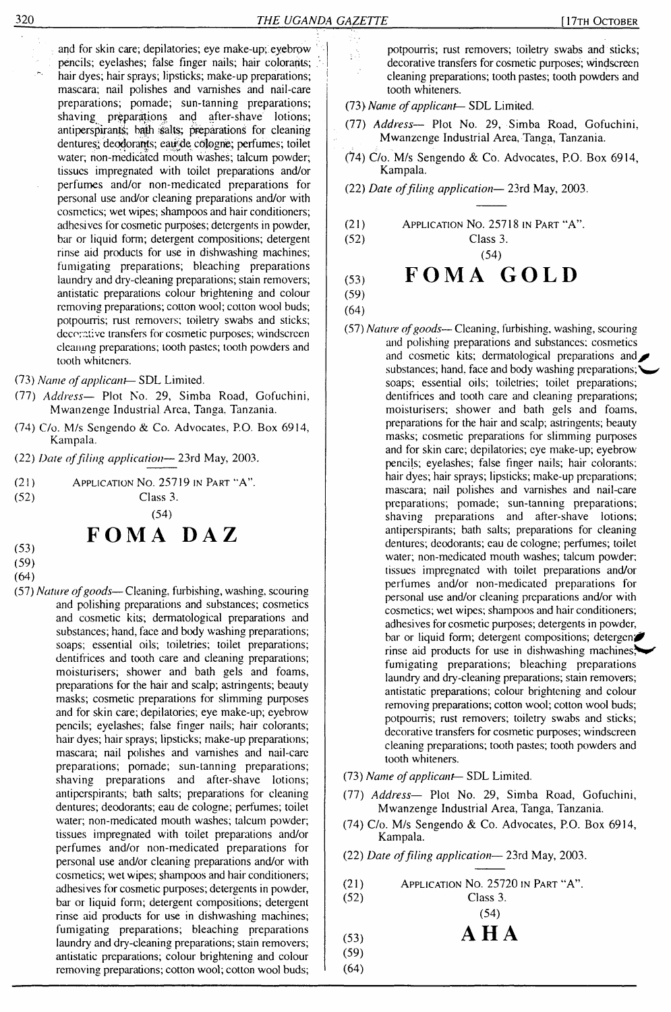$\frac{1}{2}$ 

and for skin care; depilatories; eye make-up; eyebrow pencils; eyelashes; false finger nails; hair colorants; hair dyes; hair sprays; lipsticks; make-up preparations; ; mascara; nail polishes and varnishes and nail-care preparations; pomade; sun-tanning preparations; shaving preparations and after-shave lotions; antiperspirants; bath salts; preparations for cleaning dentures; deodorants; eau de cologne; perfumes; toilet water; non-medicated mouth washes; talcum powder; tissues impregnated with toilet preparations and/or perfumes and/or non-medicated preparations for personal use and/or cleaning preparations and/or with cosmetics; wet wipes; shampoos and hair conditioners; adhesives for cosmetic purposes; detergents in powder, bar or liquid form; detergent compositions; detergent rinse aid products for use in dishwashing machines; fumigating preparations; bleaching preparations laundry and dry-cleaning preparations; stain removers; antistatic preparations colour brightening and colour removing preparations; cotton wool; cotton wool buds; potpourris; rust removers; toiletry swabs and sticks; decorative transfers for cosmetic purposes; windscreen cleaning preparations; tooth pastes; tooth powders and tooth whiteners.

(73) *Name ofapplicant*— SDL Limited.

- (77) *Address—* Plot No. 29, Simba Road, Gofuchini, Mwanzenge Industrial Area, Tanga. Tanzania.
- (74) C/o. M/s Sengendo & Co. Advocates, P.O. Box 6914, Kampala.
- (22) *Date offiling application—* 23rd May, 2003.
- (21) APPLICATION NO. 25719 IN PART "A".<br>  $(52)$  Class 3.

Class 3. (54)

# **FOMA DAZ**

- (53) (59)
- (64)
- (57) *Nature ofgoods—*Cleaning, furbishing, washing, scouring and polishing preparations and substances; cosmetics and cosmetic kits; dermatological preparations and substances; hand, face and body washing preparations; soaps; essential oils; toiletries; toilet preparations; dentifrices and tooth care and cleaning preparations; moisturisers; shower and bath gels and foams, preparations for the hair and scalp; astringents; beauty masks; cosmetic preparations for slimming purposes and for skin care; depilatories; eye make-up; eyebrow pencils; eyelashes; false finger nails; hair colorants; hair dyes; hair sprays; lipsticks; make-up preparations; mascara; nail polishes and varnishes and nail-care preparations; pomade; sun-tanning preparations; shaving preparations and after-shave lotions; antiperspirants; bath salts; preparations for cleaning dentures; deodorants; eau de cologne; perfumes; toilet water; non-medicated mouth washes; talcum powder; tissues impregnated with toilet preparations and/or perfumes and/or non-medicated preparations for personal use and/or cleaning preparations and/or with cosmetics; wet wipes; shampoos and hair conditioners; adhesives for cosmetic purposes; detergents in powder, bar or liquid form; detergent compositions; detergent rinse aid products for use in dishwashing machines; fumigating preparations; bleaching preparations laundry and dry-cleaning preparations; stain removers; antistatic preparations; colour brightening and colour removing preparations; cotton wool; cotton wool buds;

potpourris; rust removers; toiletry swabs and sticks; decorative transfers for cosmetic purposes; windscreen cleaning preparations; tooth pastes; tooth powders and tooth whiteners.

- (73) *Name ofapplicant-* SDL Limited.
- (77) *Address—* Plot No. 29, Simba Road, Gofuchini, Mwanzenge Industrial Area, Tanga, Tanzania.
- (74) C/o. M/s Sengendo & Co. Advocates, P.O. Box 6914, Kampala.
- (22) *Date offiling application—* 23rd May, 2003.
- (21) Application No. 25718 in Part "A".

(52) Class 3.

(54)

# (53) **FOMA GOLD**

(59) (64)

- (57) *Nature ofgoods—* Cleaning, furbishing, washing, scouring and polishing preparations and substances; cosmetics and cosmetic kits; dermatological preparations and substances; hand, face and body washing preparations; soaps; essential oils; toiletries; toilet preparations; dentifrices and tooth care and cleaning preparations; moisturisers; shower and bath gels and foams, preparations for the hair and scalp; astringents; beauty masks; cosmetic preparations for slimming putposes and for skin care; depilatories; eye make-up; eyebrowpencils; eyelashes; false finger nails; hair colorants; hair dyes; hair sprays; lipsticks; make-up preparations; mascara; nail polishes and varnishes and nail-care preparations; pomade; sun-tanning preparations; shaving preparations and after-shave lotions; antiperspirants; bath salts; preparations for cleaning dentures; deodorants; eau de cologne; perfumes; toilet water; non-medicated mouth washes; talcum powder; tissues impregnated with toilet preparations and/or perfumes and/or non-medicated preparations for personal use and/or cleaning preparations and/or with cosmetics; wet wipes; shampoos and hair conditioners; adhesives for cosmetic purposes; detergents in powder, bar or liquid form; detergent compositions; detergent rinse aid products for use in dishwashing machines, $*$ fumigating preparations; bleaching preparations laundry and dry-cleaning preparations; stain removers; antistatic preparations; colour brightening and colour removing preparations; cotton wool; cotton wool buds; potpourris; rust removers; toiletry swabs and sticks; decorative transfers for cosmetic purposes; windscreen cleaning preparations; tooth pastes; tooth powders and tooth whiteners.
- (73) *Name ofapplicant—* SDL Limited.
- (77) *Address—* Plot No. 29, Simba Road, Gofuchini, Mwanzenge Industrial Area, Tanga, Tanzania.
- (74) C/o. M/s Sengendo & Co. Advocates, P.O. Box 6914, Kampala.
- (22) *Date offiling application—* 23rd May, 2003.
- (21) Application No. 25720 in Part "A".

Class 3. 
$$
(54)
$$

$$
\mathbf{A} \overset{\mathbf{(34)}}{\mathbf{H}} \mathbf{A}
$$

$$
\begin{array}{c}\n(53) \\
(52)\n\end{array}
$$

(59) (64)

(52)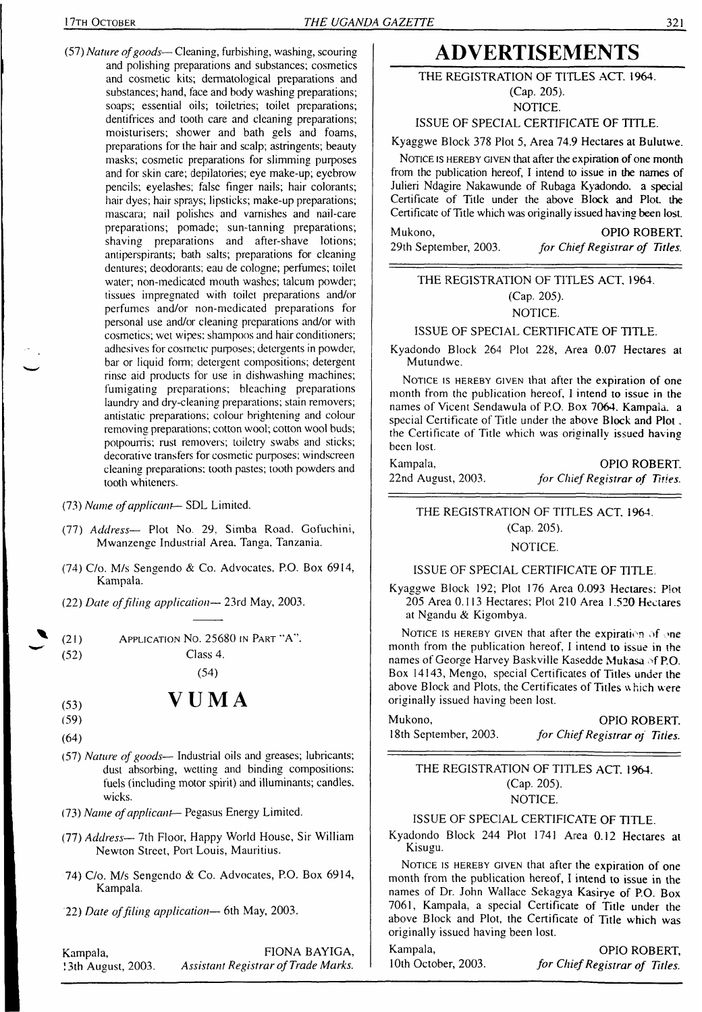(57) *Nature ofgoods—* Cleaning, furbishing, washing, scouring and polishing preparations and substances; cosmetics and cosmetic kits; dermatological preparations and substances; hand, face and body washing preparations; soaps; essential oils; toiletries; toilet preparations; dentifrices and tooth care and cleaning preparations; moisturisers; shower and bath gels and foams, preparations for the hair and scalp; astringents; beauty masks; cosmetic preparations for slimming purposes and for skin care; depilatories; eye make-up; eyebrow pencils; eyelashes; false finger nails; hair colorants; hair dyes; hair sprays; lipsticks; make-up preparations; mascara; nail polishes and varnishes and nail-care preparations; pomade; sun-tanning preparations; shaving preparations and after-shave lotions; antiperspirants; bath salts; preparations for cleaning dentures; deodorants; eau de cologne; perfumes; toilet water; non-medicated mouth washes; talcum powder; tissues impregnated with toilet preparations and/or perfumes and/or non-medicated preparations for personal use and/or cleaning preparations and/or with cosmetics; wet wipes; shampoos and hair conditioners; adhesives for cosmetic purposes; detergents in powder, bar or liquid form; detergent compositions; detergent rinse aid products for use in dishwashing machines; fumigating preparations; bleaching preparations laundry and dry-cleaning preparations; stain removers; antistatic preparations; colour brightening and colour removing preparations; cotton wool; cotton wool buds; potpourris; rust removers; toiletry swabs and sticks; decorative transfers for cosmetic purposes; windscreen cleaning preparations; tooth pastes; tooth powders and tooth whiteners.

(73) *Name ofapplicant*— SDL Limited.

- (77) *Address—* Plot No. 29, Simba Road. Gofuchini, Mwanzenge Industrial Area. Tanga. Tanzania.
- (74) C/o. M/s Sengendo & Co. Advocates. P.O. Box 6914, Kampala.
- (22) *Date offiling application—* 23rd May, 2003.

(2<sup>1</sup>) Application No. 25680 in <sup>P</sup>art "A".

(52) Class 4.

(54)

# $V$  **U M A**

- (59)
- (64)
- (57) *Nature of goods—* Industrial oils and greases; lubricants; dust absorbing, wetting and binding compositions; fuels (including motor spirit) and illuminants; candles, wicks.
- (73) *Name ofapplicant* Pegasus Energy Limited.
- (77) *Address—* 7th Floor, Happy World House, Sir William Newton Street, Port Louis, Mauritius.
- 74) C/o. M/s Sengendo & Co. Advocates, P.O. Box 6914, Kampala.
- 22) *Date offiling application—* 6th May, 2003.

Kampala, 13th August, 2003. FIONA BAYIGA, *Assistant Registrar ofTrade Marks.*

# **ADVERTISEMENTS**

### THE REGISTRATION OF TITLES ACT. 1964.

(Cap. 205).

NOTICE.

# ISSUE OF SPECIAL CERTIFICATE OF TITLE.

Kyaggwe Block 378 Plot 5, Area 74.9 Hectares at Bulutwe.

NOTICE IS HEREBY GIVEN that after the expiration of one month from the publication hereof, I intend to issue in the names of Julieri Ndagire Nakawunde of Rubaga Kyadondo. a special Certificate of Title under the above Block and Plot, the Certificate of Title which was originally issued having been lost.

Mukono, OPIO ROBERT. 29th September, 2003. *for ChiefRegistrar of Titles.*

#### THE REGISTRATION OF TITLES ACT, 1964. (Cap. 205). NOTICE.

#### ISSUE OF SPECIAL CERTIFICATE OF TITLE.

Kyadondo Block 264 Plot 228, Area 0.07 Hectares at Mutundwc.

NOTICE IS HEREBY GIVEN that after the expiration of one month from the publication hereof, <sup>I</sup> intend to issue in the names of Vicent Sendawula of P.O. Box 7064. Kampala, a special Certificate of Title under the above Block and Plot. the Certificate of Title which was originally issued having been lost.

| Kampala,           | OPIO ROBERT.                   |
|--------------------|--------------------------------|
| 22nd August, 2003. | for Chief Registrar of Titles. |

THE REGISTRATION OF TITLES ACT. 1964.

(Cap. 205).

#### NOTICE.

#### ISSUE OF SPECIAL CERTIFICATE OF TITLE.

Kyaggwe Block 192; Plot 176 Area 0.093 Hectares; Plot 205 Area 0.113 Hectares; Plot 210 Area 1.520 Hectares at Ngandu & Kigombya.

NOTICE IS HEREBY GIVEN that after the expiration of one month from the publication hereof, <sup>I</sup> intend to issue in the names of George Harvey Baskville Kasedde Mukasa of P.O. Box 14143, Mengo, special Certificates of Titles under the above Block and Plots, the Certificates of Titles which were originally issued having been lost.

Mukono, **OPIO ROBERT.**<br>18th September, 2003. *for Chief Registrar of Titles*.  $for$  *Chief Registrar of Titles.* 

THE REGISTRATION OF TITLES ACT. 1964. (Cap. 205). NOTICE.

### ISSUE OF SPECIAL CERTIFICATE OF TITLE.

Kyadondo Block 244 Plot 1741 Area 0.12 Hectares al Kisugu.

NOTICE IS HEREBY GIVEN that after the expiration of one month from the publication hereof, I intend to issue in the names of Dr. John Wallace Sekagya Kasirye of P.O. Box 7061, Kampala, a special Certificate of Title under the above Block and Plot, the Certificate of Title which was originally issued having been lost.

Kampala, OPIO ROBERT, 10th October, 2003. *for ChiefRegistrar of Titles.*